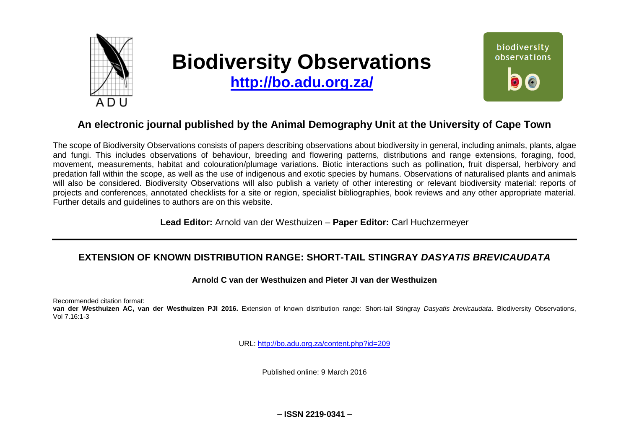

# **Biodiversity Observations**

**<http://bo.adu.org.za/>**



## **An electronic journal published by the Animal Demography Unit at the University of Cape Town**

The scope of Biodiversity Observations consists of papers describing observations about biodiversity in general, including animals, plants, algae and fungi. This includes observations of behaviour, breeding and flowering patterns, distributions and range extensions, foraging, food, movement, measurements, habitat and colouration/plumage variations. Biotic interactions such as pollination, fruit dispersal, herbivory and predation fall within the scope, as well as the use of indigenous and exotic species by humans. Observations of naturalised plants and animals will also be considered. Biodiversity Observations will also publish a variety of other interesting or relevant biodiversity material: reports of projects and conferences, annotated checklists for a site or region, specialist bibliographies, book reviews and any other appropriate material. Further details and guidelines to authors are on this website.

**Lead Editor:** Arnold van der Westhuizen – **Paper Editor:** Carl Huchzermeyer

## **EXTENSION OF KNOWN DISTRIBUTION RANGE: SHORT-TAIL STINGRAY** *DASYATIS BREVICAUDATA*

## **Arnold C van der Westhuizen and Pieter JI van der Westhuizen**

Recommended citation format:

**van der Westhuizen AC, van der Westhuizen PJI 2016.** Extension of known distribution range: Short-tail Stingray *Dasyatis brevicaudata*. Biodiversity Observations, Vol 7.16:1-3

URL:<http://bo.adu.org.za/content.php?id=209>

Published online: 9 March 2016

**– ISSN 2219-0341 –**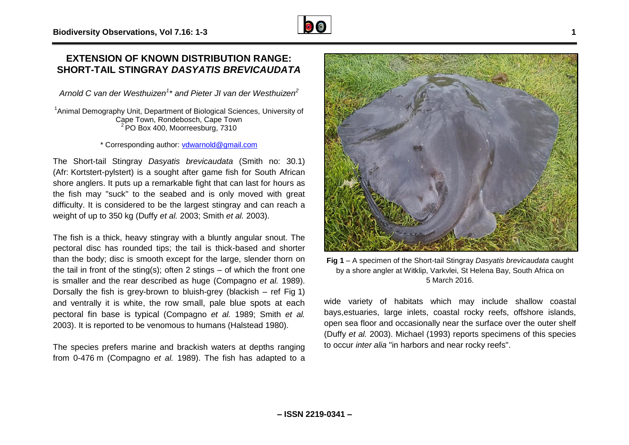## **EXTENSION OF KNOWN DISTRIBUTION RANGE: SHORT-TAIL STINGRAY** *DASYATIS BREVICAUDATA*

*Arnold C van der Westhuizen<sup>1</sup> \* and Pieter JI van der Westhuizen<sup>2</sup>*

<sup>1</sup>Animal Demography Unit, Department of Biological Sciences, University of Cape Town, Rondebosch, Cape Town  $2$  PO Box 400, Moorreesburg, 7310

\* Corresponding author: [vdwarnold@gmail.com](mailto:vdwarnold@gmail.com)

The Short-tail Stingray *Dasyatis brevicaudata* (Smith no: 30.1) (Afr: Kortstert-pylstert) is a sought after game fish for South African shore anglers. It puts up a remarkable fight that can last for hours as the fish may "suck" to the seabed and is only moved with great difficulty. It is considered to be the largest stingray and can reach a weight of up to 350 kg (Duffy *et al.* 2003; Smith *et al.* 2003).

The fish is a thick, heavy stingray with a bluntly angular snout. The pectoral disc has rounded tips; the tail is thick-based and shorter than the body; disc is smooth except for the large, slender thorn on the tail in front of the sting(s); often 2 stings – of which the front one is smaller and the rear described as huge (Compagno *et al.* 1989). Dorsally the fish is grey-brown to bluish-grey (blackish – ref Fig 1) and ventrally it is white, the row small, pale blue spots at each pectoral fin base is typical (Compagno *et al.* 1989; Smith *et al.*  2003). It is reported to be venomous to humans (Halstead 1980).

The species prefers marine and brackish waters at depths ranging from 0-476 m (Compagno *et al.* 1989). The fish has adapted to a



by a shore angler at Witklip, Varkvlei, St Helena Bay, South Africa on 5 March 2016.

wide variety of habitats which may include shallow coastal bays,estuaries, large inlets, coastal rocky reefs, offshore islands, open sea floor and occasionally near the surface over the outer shelf (Duffy *et al.* 2003). Michael (1993) reports specimens of this species to occur *inter alia* "in harbors and near rocky reefs".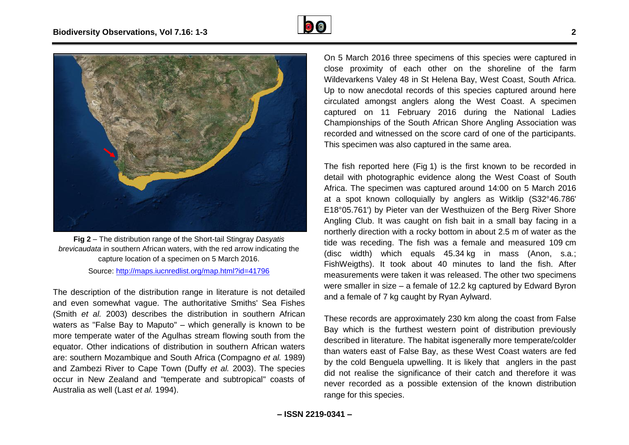



**Fig 2** – The distribution range of the Short-tail Stingray *Dasyatis brevicaudata* in southern African waters, with the red arrow indicating the capture location of a specimen on 5 March 2016.

### Source:<http://maps.iucnredlist.org/map.html?id=41796>

The description of the distribution range in literature is not detailed and even somewhat vague. The authoritative Smiths' Sea Fishes (Smith *et al.* 2003) describes the distribution in southern African waters as "False Bay to Maputo" – which generally is known to be more temperate water of the Agulhas stream flowing south from the equator. Other indications of distribution in southern African waters are: southern Mozambique and South Africa (Compagno *et al.* 1989) and Zambezi River to Cape Town (Duffy *et al.* 2003). The species occur in New Zealand and "temperate and subtropical" coasts of Australia as well (Last *et al.* 1994).

On 5 March 2016 three specimens of this species were captured in close proximity of each other on the shoreline of the farm Wildevarkens Valey 48 in St Helena Bay, West Coast, South Africa. Up to now anecdotal records of this species captured around here circulated amongst anglers along the West Coast. A specimen captured on 11 February 2016 during the National Ladies Championships of the South African Shore Angling Association was recorded and witnessed on the score card of one of the participants. This specimen was also captured in the same area.

The fish reported here (Fig 1) is the first known to be recorded in detail with photographic evidence along the West Coast of South Africa. The specimen was captured around 14:00 on 5 March 2016 at a spot known colloquially by anglers as Witklip (S32°46.786' E18°05.761') by Pieter van der Westhuizen of the Berg River Shore Angling Club. It was caught on fish bait in a small bay facing in a northerly direction with a rocky bottom in about 2.5 m of water as the tide was receding. The fish was a female and measured 109 cm (disc width) which equals 45.34 kg in mass (Anon, s.a.; FishWeigths). It took about 40 minutes to land the fish. After measurements were taken it was released. The other two specimens were smaller in size – a female of 12.2 kg captured by Edward Byron and a female of 7 kg caught by Ryan Aylward.

These records are approximately 230 km along the coast from False Bay which is the furthest western point of distribution previously described in literature. The habitat isgenerally more temperate/colder than waters east of False Bay, as these West Coast waters are fed by the cold Benguela upwelling. It is likely that anglers in the past did not realise the significance of their catch and therefore it was never recorded as a possible extension of the known distribution range for this species.